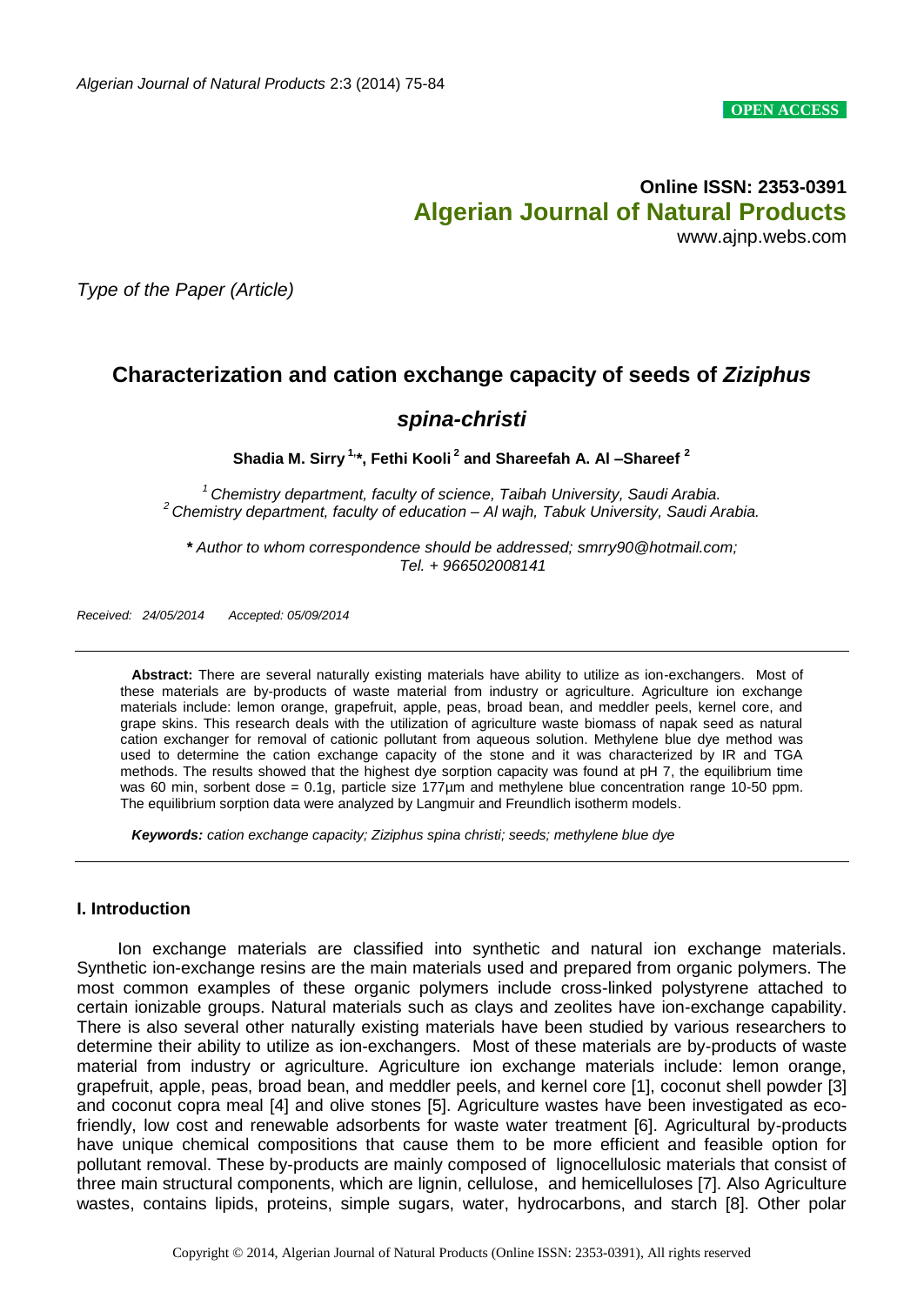**OPEN ACCESS**

# **Online ISSN: 2353-0391 Algerian Journal of Natural Products** www.ajnp.webs.com

*Type of the Paper (Article)*

# **Characterization and cation exchange capacity of seeds of** *Ziziphus*

# *spina-christi*

**Shadia M. Sirry 1,\*, Fethi Kooli <sup>2</sup> and Shareefah A. Al –Shareef <sup>2</sup>**

*<sup>1</sup> Chemistry department, faculty of science, Taibah University, Saudi Arabia. <sup>2</sup> Chemistry department, faculty of education – Al wajh, Tabuk University, Saudi Arabia.*

*\* Author to whom correspondence should be addressed; smrry90@hotmail.com; Tel. + 966502008141*

*Received: 24/05/2014 Accepted: 05/09/2014*

**Abstract:** There are several naturally existing materials have ability to utilize as ion-exchangers. Most of these materials are by-products of waste material from industry or agriculture. Agriculture ion exchange materials include: lemon orange, grapefruit, apple, peas, broad bean, and meddler peels, kernel core, and grape skins. This research deals with the utilization of agriculture waste biomass of napak seed as natural cation exchanger for removal of cationic pollutant from aqueous solution. Methylene blue dye method was used to determine the cation exchange capacity of the stone and it was characterized by IR and TGA methods. The results showed that the highest dye sorption capacity was found at pH 7, the equilibrium time was 60 min, sorbent dose = 0.1g, particle size 177µm and methylene blue concentration range 10-50 ppm. The equilibrium sorption data were analyzed by Langmuir and Freundlich isotherm models.

*Keywords: cation exchange capacity; Ziziphus spina christi; seeds; methylene blue dye*

#### **I. Introduction**

 Ion exchange materials are classified into synthetic and natural ion exchange materials. Synthetic ion-exchange resins are the main materials used and prepared from organic polymers. The most common examples of these organic polymers include cross-linked polystyrene attached to certain ionizable groups. Natural materials such as clays and zeolites have ion-exchange capability. There is also several other naturally existing materials have been studied by various researchers to determine their ability to utilize as ion-exchangers. Most of these materials are by-products of waste material from industry or agriculture. Agriculture ion exchange materials include: lemon orange, grapefruit, apple, peas, broad bean, and meddler peels, and kernel core [1], coconut shell powder [3] and coconut copra meal [4] and olive stones [5]. Agriculture wastes have been investigated as ecofriendly, low cost and renewable adsorbents for waste water treatment [6]. Agricultural by-products have unique chemical compositions that cause them to be more efficient and feasible option for pollutant removal. These by-products are mainly composed of lignocellulosic materials that consist of three main structural components, which are lignin, cellulose, and hemicelluloses [7]. Also Agriculture wastes, contains lipids, proteins, simple sugars, water, hydrocarbons, and starch [8]. Other polar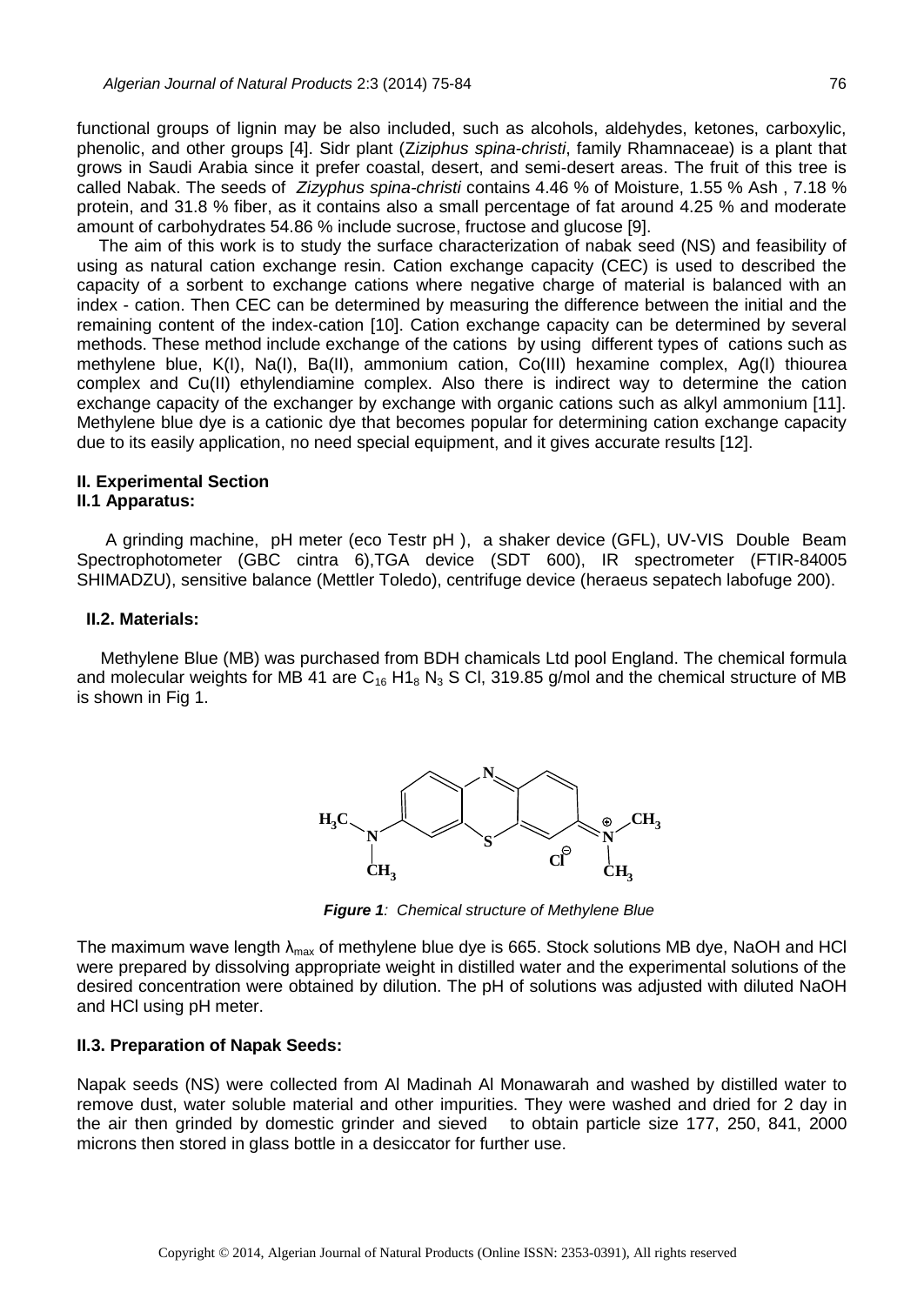functional groups of lignin may be also included, such as alcohols, aldehydes, ketones, carboxylic, phenolic, and other groups [4]. Sidr plant (Z*iziphus spina-christi*, family Rhamnaceae) is a plant that grows in Saudi Arabia since it prefer coastal, desert, and semi-desert areas. The fruit of this tree is called Nabak. The seeds of *Zizyphus spina-christi* contains 4.46 % of Moisture, 1.55 % Ash , 7.18 % protein, and 31.8 % fiber, as it contains also a small percentage of fat around 4.25 % and moderate amount of carbohydrates 54.86 % include sucrose, fructose and glucose [9].

The aim of this work is to study the surface characterization of nabak seed (NS) and feasibility of using as natural cation exchange resin. Cation exchange capacity (CEC) is used to described the capacity of a sorbent to exchange cations where negative charge of material is balanced with an index - cation. Then CEC can be determined by measuring the difference between the initial and the remaining content of the index-cation [10]. Cation exchange capacity can be determined by several methods. These method include exchange of the cations by using different types of cations such as methylene blue, K(I), Na(I), Ba(II), ammonium cation, Co(III) hexamine complex, Ag(I) thiourea complex and Cu(II) ethylendiamine complex. Also there is indirect way to determine the cation exchange capacity of the exchanger by exchange with organic cations such as alkyl ammonium [11]. Methylene blue dye is a cationic dye that becomes popular for determining cation exchange capacity due to its easily application, no need special equipment, and it gives accurate results [12].

# **II. Experimental Section**

## **II.1 Apparatus:**

 A grinding machine, pH meter (eco Testr pH ), a shaker device (GFL), UV-VIS Double Beam Spectrophotometer (GBC cintra 6),TGA device (SDT 600), IR spectrometer (FTIR-84005 SHIMADZU), sensitive balance (Mettler Toledo), centrifuge device (heraeus sepatech labofuge 200).

#### **II.2. Materials:**

 Methylene Blue (MB) was purchased from BDH chamicals Ltd pool England. The chemical formula and molecular weights for MB 41 are  $C_{16}$  H1<sub>8</sub> N<sub>3</sub> S Cl, 319.85 g/mol and the chemical structure of MB is shown in Fig 1.



*Figure 1: Chemical structure of Methylene Blue*

The maximum wave length  $\lambda_{\text{max}}$  of methylene blue dye is 665. Stock solutions MB dye, NaOH and HCl were prepared by dissolving appropriate weight in distilled water and the experimental solutions of the desired concentration were obtained by dilution. The pH of solutions was adjusted with diluted NaOH and HCl using pH meter.

## **II.3. Preparation of Napak Seeds:**

Napak seeds (NS) were collected from Al Madinah Al Monawarah and washed by distilled water to remove dust, water soluble material and other impurities. They were washed and dried for 2 day in the air then grinded by domestic grinder and sieved to obtain particle size 177, 250, 841, 2000 microns then stored in glass bottle in a desiccator for further use.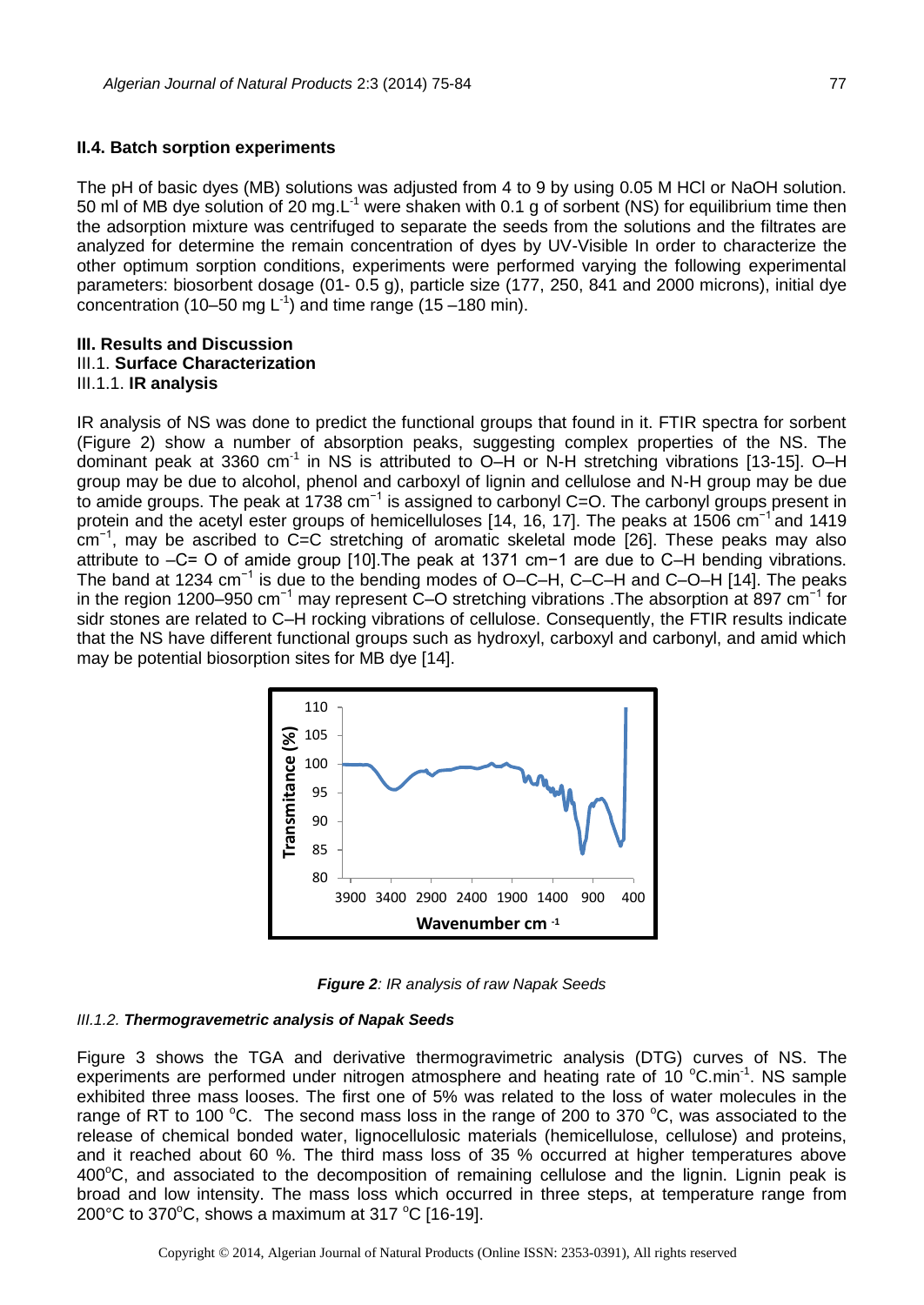The pH of basic dyes (MB) solutions was adjusted from 4 to 9 by using 0.05 M HCl or NaOH solution. 50 ml of MB dye solution of 20 mg.L<sup>-1</sup> were shaken with 0.1 g of sorbent (NS) for equilibrium time then the adsorption mixture was centrifuged to separate the seeds from the solutions and the filtrates are analyzed for determine the remain concentration of dyes by UV-Visible In order to characterize the other optimum sorption conditions, experiments were performed varying the following experimental parameters: biosorbent dosage (01- 0.5 g), particle size (177, 250, 841 and 2000 microns), initial dye concentration (10–50 mg  $L^{-1}$ ) and time range (15–180 min).

#### **III. Results and Discussion** III.1. **Surface Characterization** III.1.1. **IR analysis**

IR analysis of NS was done to predict the functional groups that found in it. FTIR spectra for sorbent (Figure 2) show a number of absorption peaks, suggesting complex properties of the NS. The dominant peak at 3360 cm<sup>-1</sup> in NS is attributed to O-H or N-H stretching vibrations [13-15]. O-H group may be due to alcohol, phenol and carboxyl of lignin and cellulose and N-H group may be due to amide groups. The peak at 1738 cm<sup>-1</sup> is assigned to carbonyl C=O. The carbonyl groups present in protein and the acetyl ester groups of hemicelluloses [14, 16, 17]. The peaks at 1506 cm<sup>-1</sup> and 1419 cm−1, may be ascribed to C=C stretching of aromatic skeletal mode [26]. These peaks may also attribute to –C= O of amide group [10].The peak at 1371 cm−1 are due to C–H bending vibrations. The band at 1234 cm<sup>-1</sup> is due to the bending modes of O–C–H, C–C–H and C–O–H [14]. The peaks in the region 1200–950 cm−1 may represent C–O stretching vibrations .The absorption at 897 cm−1 for sidr stones are related to C–H rocking vibrations of cellulose. Consequently, the FTIR results indicate that the NS have different functional groups such as hydroxyl, carboxyl and carbonyl, and amid which may be potential biosorption sites for MB dye [14].



*Figure 2: IR analysis of raw Napak Seeds*

## *III.1.2. Thermogravemetric analysis of Napak Seeds*

Figure 3 shows the TGA and derivative thermogravimetric analysis (DTG) curves of NS. The experiments are performed under nitrogen atmosphere and heating rate of 10  $^{\circ}$ C.min<sup>-1</sup>. NS sample exhibited three mass looses. The first one of 5% was related to the loss of water molecules in the range of RT to 100  $^{\circ}$ C. The second mass loss in the range of 200 to 370  $^{\circ}$ C, was associated to the release of chemical bonded water, lignocellulosic materials (hemicellulose, cellulose) and proteins, and it reached about 60 %. The third mass loss of 35 % occurred at higher temperatures above  $400^{\circ}$ C, and associated to the decomposition of remaining cellulose and the lignin. Lignin peak is broad and low intensity. The mass loss which occurred in three steps, at temperature range from 200 $\degree$ C to 370 $\degree$ C, shows a maximum at 317 $\degree$ C [16-19].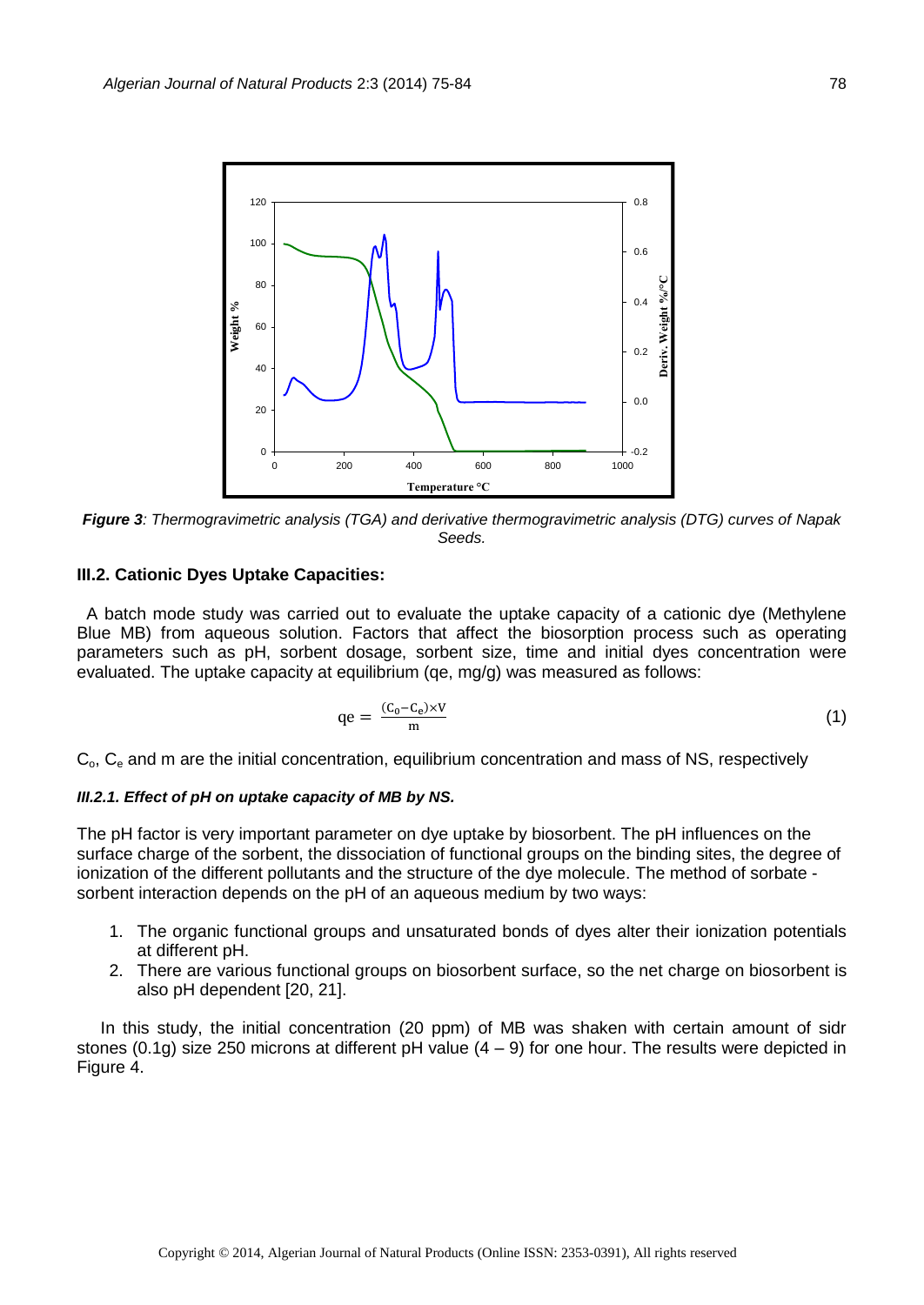

*Figure 3: Thermogravimetric analysis (TGA) and derivative thermogravimetric analysis (DTG) curves of Napak Seeds.* 

### **III.2. Cationic Dyes Uptake Capacities:**

A batch mode study was carried out to evaluate the uptake capacity of a cationic dye (Methylene Blue MB) from aqueous solution. Factors that affect the biosorption process such as operating parameters such as pH, sorbent dosage, sorbent size, time and initial dyes concentration were evaluated. The uptake capacity at equilibrium (qe, mg/g) was measured as follows:

$$
qe = \frac{(C_0 - C_e) \times V}{m} \tag{1}
$$

 $C_{o}$ ,  $C_{e}$  and m are the initial concentration, equilibrium concentration and mass of NS, respectively

#### *III.2.1. Effect of pH on uptake capacity of MB by NS.*

The pH factor is very important parameter on dye uptake by biosorbent. The pH influences on the surface charge of the sorbent, the dissociation of functional groups on the binding sites, the degree of ionization of the different pollutants and the structure of the dye molecule. The method of sorbate sorbent interaction depends on the pH of an aqueous medium by two ways:

- 1. The organic functional groups and unsaturated bonds of dyes alter their ionization potentials at different pH.
- 2. There are various functional groups on biosorbent surface, so the net charge on biosorbent is also pH dependent [20, 21].

 In this study, the initial concentration (20 ppm) of MB was shaken with certain amount of sidr stones (0.1g) size 250 microns at different pH value  $(4 - 9)$  for one hour. The results were depicted in Figure 4.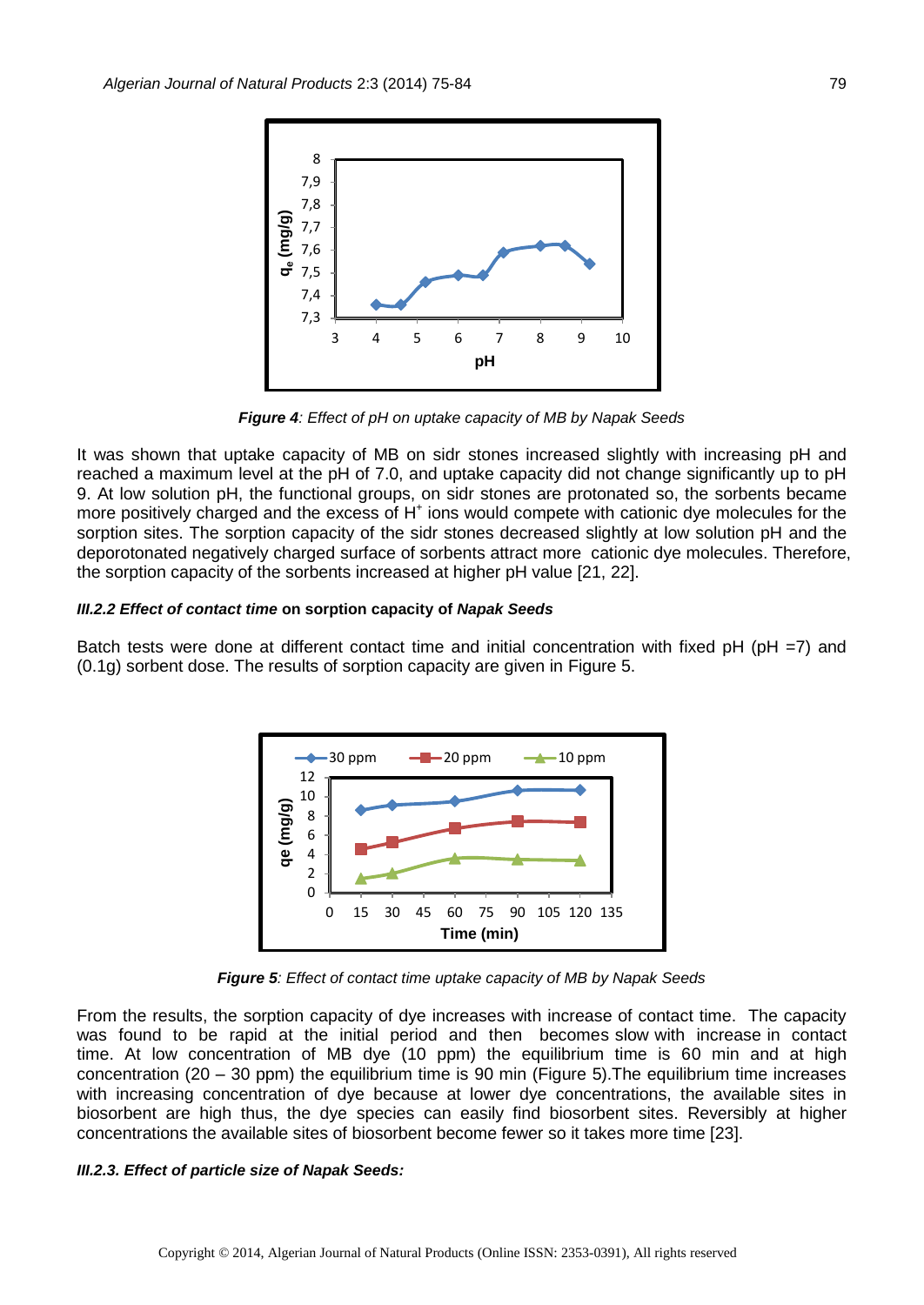

*Figure 4: Effect of pH on uptake capacity of MB by Napak Seeds*

It was shown that uptake capacity of MB on sidr stones increased slightly with increasing pH and reached a maximum level at the pH of 7.0, and uptake capacity did not change significantly up to pH 9. At low solution pH, the functional groups, on sidr stones are protonated so, the sorbents became more positively charged and the excess of H<sup>+</sup> ions would compete with cationic dye molecules for the sorption sites. The sorption capacity of the sidr stones decreased slightly at low solution pH and the deporotonated negatively charged surface of sorbents attract more cationic dye molecules. Therefore, the sorption capacity of the sorbents increased at higher pH value [21, 22].

#### *III.2.2 Effect of contact time* **on sorption capacity of** *Napak Seeds*

Batch tests were done at different contact time and initial concentration with fixed  $pH (pH = 7)$  and (0.1g) sorbent dose. The results of sorption capacity are given in Figure 5.



*Figure 5: Effect of contact time uptake capacity of MB by Napak Seeds*

From the results, the sorption capacity of dye increases with increase of contact time. The capacity was found to be rapid at the initial period and then becomes slow with increase in contact time. At low concentration of MB dye (10 ppm) the equilibrium time is 60 min and at high concentration (20 – 30 ppm) the equilibrium time is 90 min (Figure 5).The equilibrium time increases with increasing concentration of dye because at lower dye concentrations, the available sites in biosorbent are high thus, the dye species can easily find biosorbent sites. Reversibly at higher concentrations the available sites of biosorbent become fewer so it takes more time [23].

#### *III.2.3. Effect of particle size of Napak Seeds:*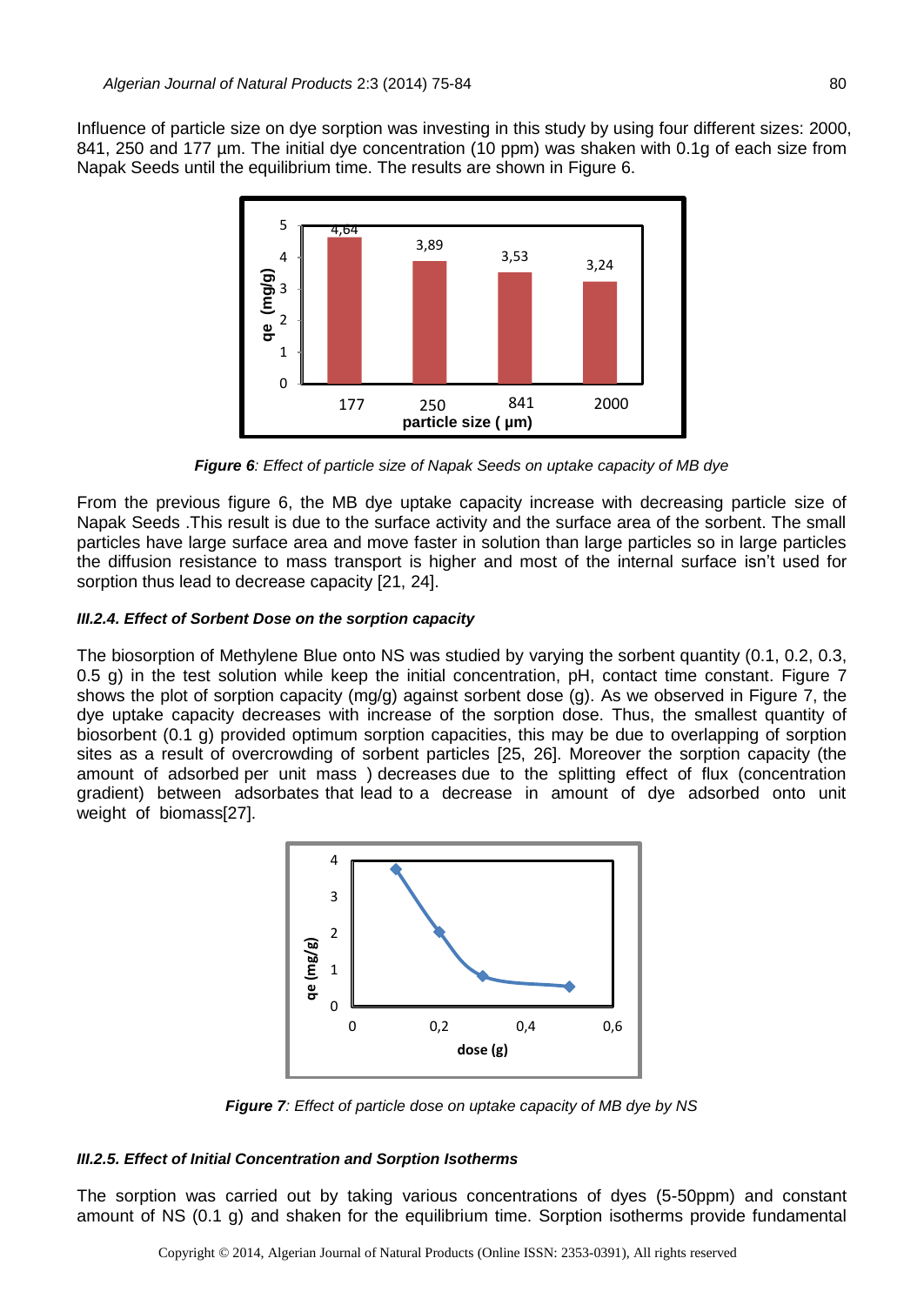Influence of particle size on dye sorption was investing in this study by using four different sizes: 2000, 841, 250 and 177 µm. The initial dye concentration (10 ppm) was shaken with 0.1g of each size from Napak Seeds until the equilibrium time. The results are shown in Figure 6.



*Figure 6: Effect of particle size of Napak Seeds on uptake capacity of MB dye*

From the previous figure 6, the MB dye uptake capacity increase with decreasing particle size of Napak Seeds .This result is due to the surface activity and the surface area of the sorbent. The small particles have large surface area and move faster in solution than large particles so in large particles the diffusion resistance to mass transport is higher and most of the internal surface isn't used for sorption thus lead to decrease capacity [21, 24].

## *III.2.4. Effect of Sorbent Dose on the sorption capacity*

The biosorption of Methylene Blue onto NS was studied by varying the sorbent quantity (0.1, 0.2, 0.3, 0.5 g) in the test solution while keep the initial concentration, pH, contact time constant. Figure 7 shows the plot of sorption capacity (mg/g) against sorbent dose (g). As we observed in Figure 7, the dye uptake capacity decreases with increase of the sorption dose. Thus, the smallest quantity of biosorbent (0.1 g) provided optimum sorption capacities, this may be due to overlapping of sorption sites as a result of overcrowding of sorbent particles [25, 26]. Moreover the sorption capacity (the amount of adsorbed per unit mass ) decreases due to the splitting effect of flux (concentration gradient) between adsorbates that lead to a decrease in amount of dye adsorbed onto unit weight of biomass[27].



*Figure 7: Effect of particle dose on uptake capacity of MB dye by NS*

#### *III.2.5. Effect of Initial Concentration and Sorption Isotherms*

The sorption was carried out by taking various concentrations of dyes (5-50ppm) and constant amount of NS (0.1 g) and shaken for the equilibrium time. Sorption isotherms provide fundamental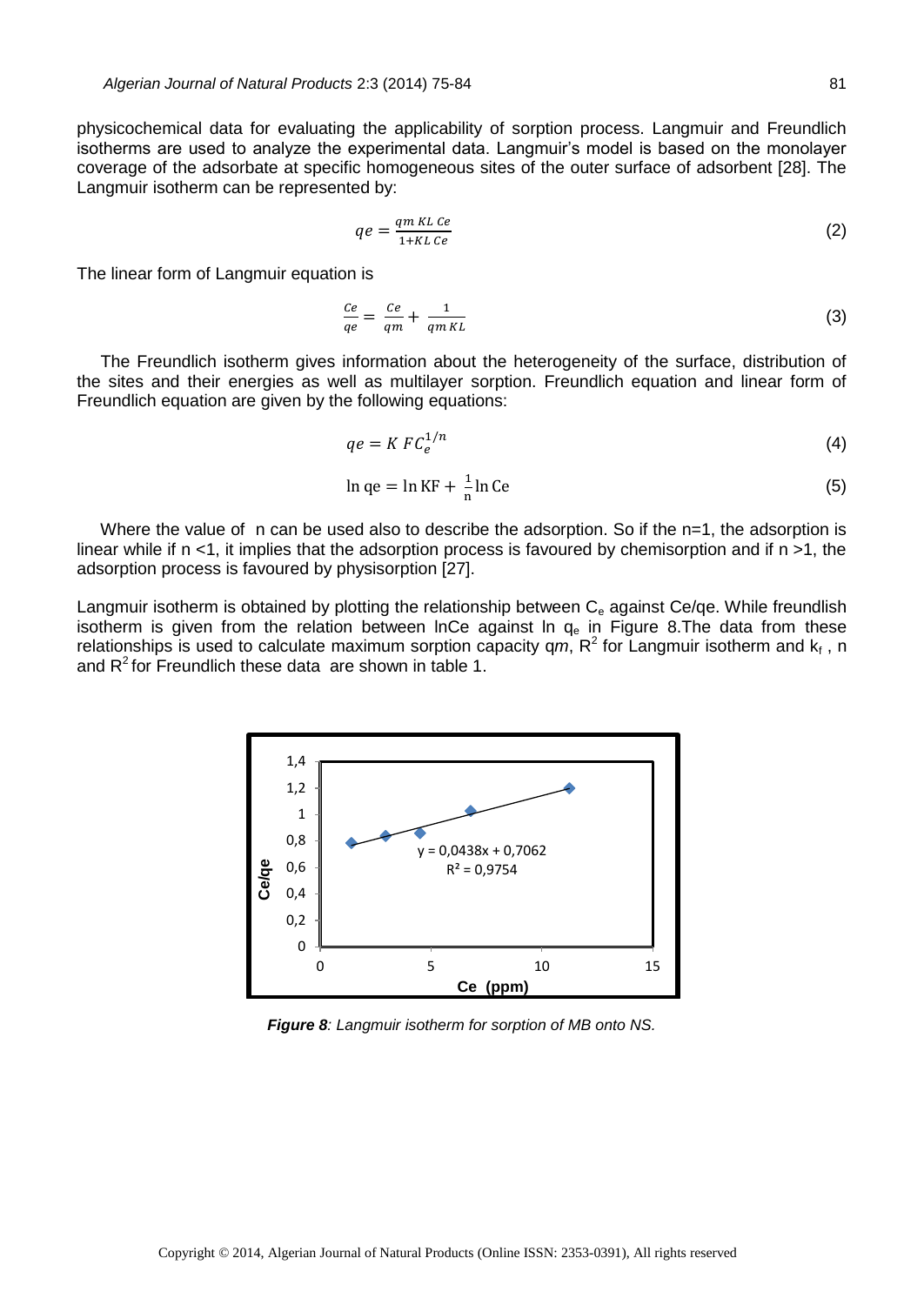physicochemical data for evaluating the applicability of sorption process. Langmuir and Freundlich isotherms are used to analyze the experimental data. Langmuir's model is based on the monolayer coverage of the adsorbate at specific homogeneous sites of the outer surface of adsorbent [28]. The Langmuir isotherm can be represented by:

$$
qe = \frac{qm \, KL \, Ce}{1 + KL \, Ce} \tag{2}
$$

The linear form of Langmuir equation is

$$
\frac{Ce}{qe} = \frac{Ce}{qm} + \frac{1}{qm\,KL} \tag{3}
$$

The Freundlich isotherm gives information about the heterogeneity of the surface, distribution of the sites and their energies as well as multilayer sorption. Freundlich equation and linear form of Freundlich equation are given by the following equations:

$$
qe = K\,F C_e^{1/n} \tag{4}
$$

$$
\ln qe = \ln KF + \frac{1}{n}\ln Ce \tag{5}
$$

Where the value of n can be used also to describe the adsorption. So if the n=1, the adsorption is linear while if n <1, it implies that the adsorption process is favoured by chemisorption and if n >1, the adsorption process is favoured by physisorption [27].

Langmuir isotherm is obtained by plotting the relationship between  $C<sub>e</sub>$  against Ce/qe. While freundlish isotherm is given from the relation between InCe against In  $q_e$  in Figure 8. The data from these relationships is used to calculate maximum sorption capacity  $qm, R^2$  for Langmuir isotherm and  $k_f$ , n and  $R^2$  for Freundlich these data are shown in table 1.



*Figure 8: Langmuir isotherm for sorption of MB onto NS.*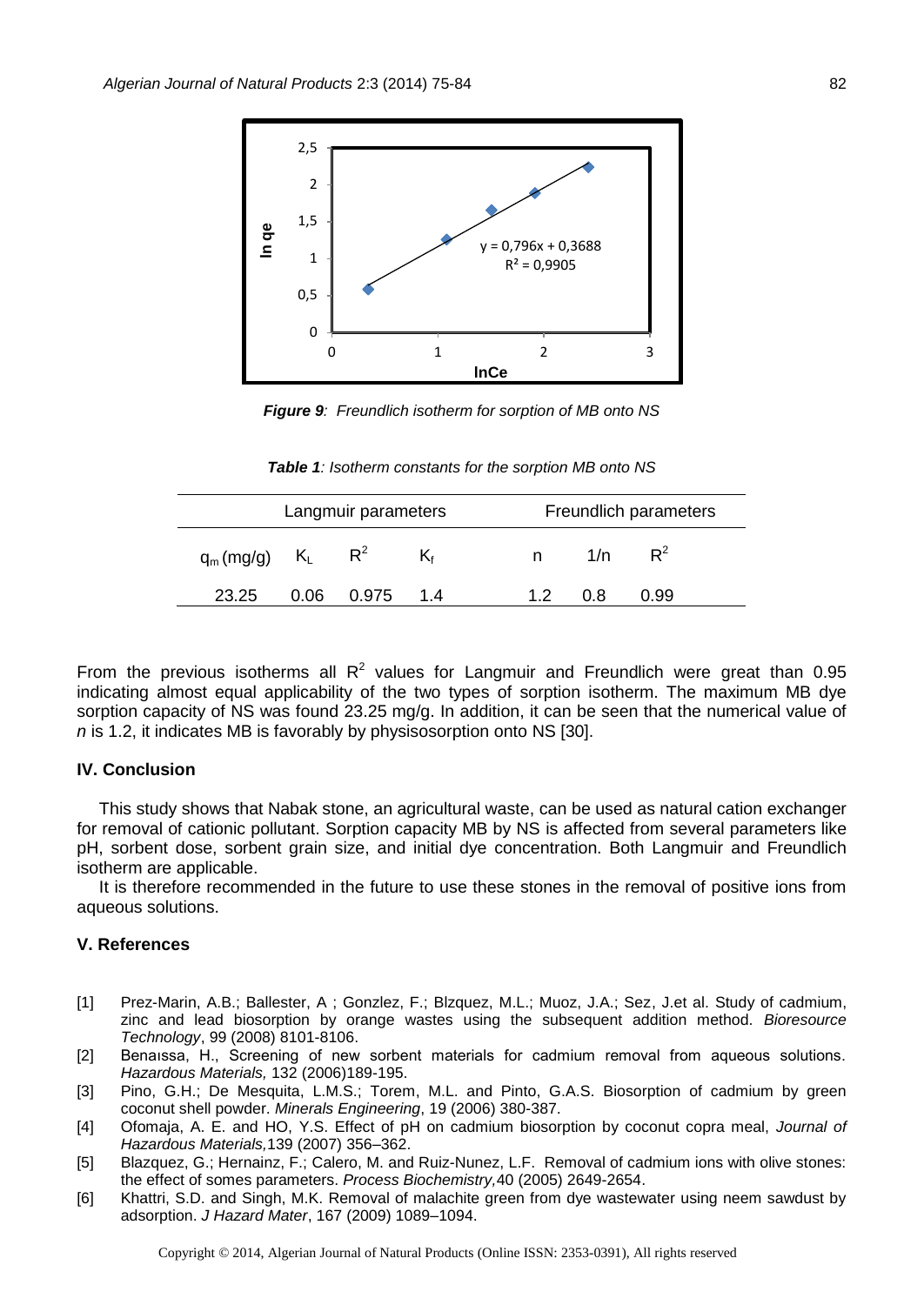

*Figure 9: Freundlich isotherm for sorption of MB onto NS*

*Table 1: Isotherm constants for the sorption MB onto NS*

| Langmuir parameters |  |                  |    | Freundlich parameters |     |       |
|---------------------|--|------------------|----|-----------------------|-----|-------|
| $q_m(mg/g)$ $K_L$   |  | $R^2$            | K٠ | n.                    | 1/n | $R^2$ |
| 23.25               |  | $0.06$ 0.975 1.4 |    | 12                    | 0.8 | 0.99  |

From the previous isotherms all  $R^2$  values for Langmuir and Freundlich were great than 0.95 indicating almost equal applicability of the two types of sorption isotherm. The maximum MB dye sorption capacity of NS was found 23.25 mg/g. In addition, it can be seen that the numerical value of *n* is 1.2, it indicates MB is favorably by physisosorption onto NS [30].

## **IV. Conclusion**

This study shows that Nabak stone, an agricultural waste, can be used as natural cation exchanger for removal of cationic pollutant. Sorption capacity MB by NS is affected from several parameters like pH, sorbent dose, sorbent grain size, and initial dye concentration. Both Langmuir and Freundlich isotherm are applicable.

It is therefore recommended in the future to use these stones in the removal of positive ions from aqueous solutions.

## **V. References**

- [1] Prez-Marin, A.B.; Ballester, A ; Gonzlez, F.; Blzquez, M.L.; Muoz, J.A.; Sez, J.et al. Study of cadmium, zinc and lead biosorption by orange wastes using the subsequent addition method. *Bioresource Technology*, 99 (2008) 8101-8106.
- [2] Benaıssa, H., Screening of new sorbent materials for cadmium removal from aqueous solutions. *Hazardous Materials,* 132 (2006)189-195.
- [3] Pino, G.H.; De Mesquita, L.M.S.; Torem, M.L. and Pinto, G.A.S. Biosorption of cadmium by green coconut shell powder. *Minerals Engineering*, 19 (2006) 380-387.
- [4] [Ofomaja,](http://www.sciencedirect.com/science/article/pii/S0304389406006807) A. E. and HO, Y.S. Effect of pH on cadmium biosorption by coconut copra meal, *[Journal of](http://www.sciencedirect.com/science/journal/03043894) Hazardous Materials,*139 (2007) 356–362.
- [5] Blazquez, G.; Hernainz, F.; Calero, M. and Ruiz-Nunez, L.F. Removal of cadmium ions with olive stones: the effect of somes parameters. *Process Biochemistry,*40 (2005) 2649-2654.
- [6] Khattri, S.D. and Singh, M.K. Removal of malachite green from dye wastewater using neem sawdust by adsorption. *J Hazard Mater*, 167 (2009) 1089–1094.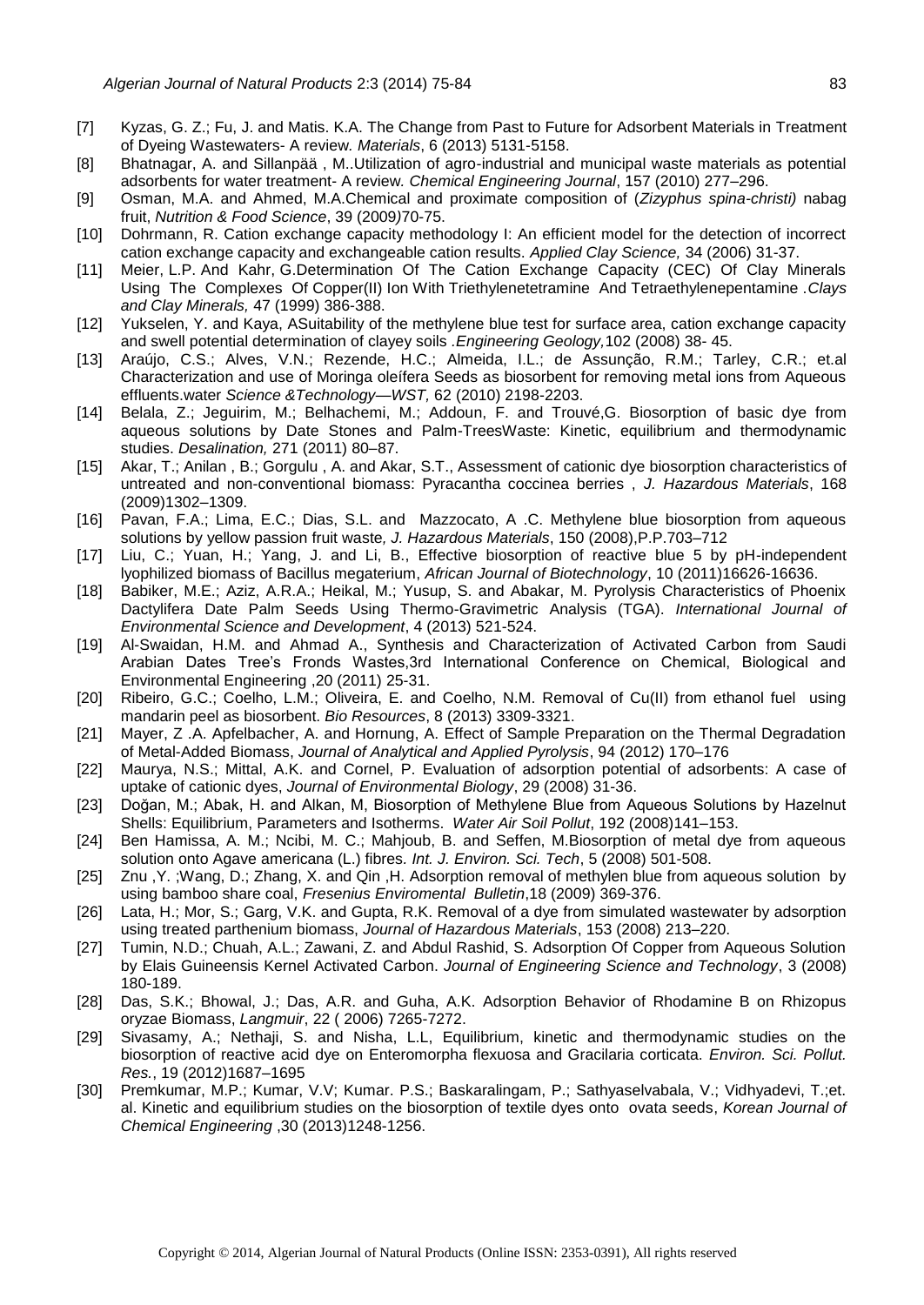- [7] Kyzas, G. Z.; Fu, J. and Matis. K.A. The Change from Past to Future for Adsorbent Materials in Treatment of Dyeing Wastewaters- A review*. Materials*, 6 (2013) 5131-5158.
- [8] Bhatnagar, A. and Sillanpää , M..Utilization of agro-industrial and municipal waste materials as potential adsorbents for water treatment- A review*. Chemical Engineering Journal*, 157 (2010) 277–296.
- [9] Osman, M.A. and Ahmed, M.A.Chemical and proximate composition of (*Zizyphus spina-christi)* nabag fruit, *Nutrition & Food Science*, 39 (2009*)*70-75.
- [10] Dohrmann, R. Cation exchange capacity methodology I: An efficient model for the detection of incorrect cation exchange capacity and exchangeable cation results. *Applied Clay Science,* [34](http://www.sciencedirect.com/science/journal/01691317/34/1) (2006) 31-37.
- [11] Meier, L.P. And Kahr, G.Determination Of The Cation Exchange Capacity (CEC) Of Clay Minerals Using The Complexes Of Copper(II) Ion With Triethylenetetramine And Tetraethylenepentamine .*Clays and Clay Minerals,* 47 (1999) 386-388.
- [12] Yukselen, Y. and Kaya, ASuitability of the methylene blue test for surface area, cation exchange capacity and swell potential determination of clayey soils *.Engineering Geology,*102 (2008) 38- 45.
- [13] [Araújo, C.S.](http://www.ncbi.nlm.nih.gov/pubmed?term=Ara%C3%BAjo%20CS%5BAuthor%5D&cauthor=true&cauthor_uid=21045350); [Alves, V.N.](http://www.ncbi.nlm.nih.gov/pubmed?term=Alves%20VN%5BAuthor%5D&cauthor=true&cauthor_uid=21045350); [Rezende, H.C.](http://www.ncbi.nlm.nih.gov/pubmed?term=Rezende%20HC%5BAuthor%5D&cauthor=true&cauthor_uid=21045350); [Almeida, I.L.](http://www.ncbi.nlm.nih.gov/pubmed?term=Almeida%20IL%5BAuthor%5D&cauthor=true&cauthor_uid=21045350); [de Assunção, R.M.](http://www.ncbi.nlm.nih.gov/pubmed?term=de%20Assun%C3%A7%C3%A3o%20RM%5BAuthor%5D&cauthor=true&cauthor_uid=21045350); [Tarley, C.R.](http://www.ncbi.nlm.nih.gov/pubmed?term=Tarley%20CR%5BAuthor%5D&cauthor=true&cauthor_uid=21045350); et.al Characterization and use of Moringa oleífera Seeds as biosorbent for removing metal ions from Aqueous effluents.water *Science &Technology—WST,* 62 (2010) 2198-2203.
- [14] Belala, Z.; Jeguirim, M.; Belhachemi, M.; Addoun, F. and Trouvé,G. Biosorption of basic dye from aqueous solutions by Date Stones and Palm-TreesWaste: Kinetic, equilibrium and thermodynamic studies. *Desalination,* 271 (2011) 80–87.
- [15] Akar, T.; Anilan , B.; Gorgulu , A. and Akar, S.T., Assessment of cationic dye biosorption characteristics of untreated and non-conventional biomass: Pyracantha coccinea berries , *J. Hazardous Materials*, 168 (2009)1302–1309.
- [16] Pavan, F.A.; Lima, E.C.; Dias, S.L. and Mazzocato, A .C. Methylene blue biosorption from aqueous solutions by yellow passion fruit waste*, J. Hazardous Materials*, 150 (2008),P.P.703–712
- [17] Liu, C.; Yuan, H.; Yang, J. and Li, B., Effective biosorption of reactive blue 5 by pH-independent lyophilized biomass of Bacillus megaterium, *African Journal of Biotechnology*, 10 (2011)16626-16636.
- [18] Babiker, M.E.; Aziz, A.R.A.; Heikal, M.; Yusup, S. and Abakar, M. Pyrolysis Characteristics of Phoenix Dactylifera Date Palm Seeds Using Thermo-Gravimetric Analysis (TGA). *International Journal of Environmental Science and Development*, 4 (2013) 521-524.
- [19] Al-Swaidan, H.M. and Ahmad A., Synthesis and Characterization of Activated Carbon from Saudi Arabian Dates Tree's Fronds Wastes,3rd International Conference on Chemical, Biological and Environmental Engineering ,20 (2011) 25-31.
- [20] Ribeiro, G.C.; Coelho, L.M.; Oliveira, E. and Coelho, N.M. Removal of Cu(II) from ethanol fuel using mandarin peel as biosorbent. *Bio Resources*, 8 (2013) 3309-3321.
- [21] Mayer, Z .A. Apfelbacher, A. and Hornung, A. Effect of Sample Preparation on the Thermal Degradation of Metal-Added Biomass, *[Journal of Analytical and Applied Pyrolysis](http://www.sciencedirect.com/science/journal/01652370)*[, 94](http://www.sciencedirect.com/science/journal/01652370) (2012) 170–176
- [22] [Maurya, N.S.](http://www.ncbi.nlm.nih.gov/pubmed?term=Maurya%20NS%5BAuthor%5D&cauthor=true&cauthor_uid=18831328); [Mittal, A.K.](http://www.ncbi.nlm.nih.gov/pubmed?term=Mittal%20AK%5BAuthor%5D&cauthor=true&cauthor_uid=18831328) and [Cornel, P.](http://www.ncbi.nlm.nih.gov/pubmed?term=Cornel%20P%5BAuthor%5D&cauthor=true&cauthor_uid=18831328) Evaluation of adsorption potential of adsorbents: A case of uptake of cationic dyes, *Journal of Environmental Biology*, 29 (2008) 31-36.
- [23] Doğan, M.; Abak, H. and Alkan, M, Biosorption of Methylene Blue from Aqueous Solutions by Hazelnut Shells: Equilibrium, Parameters and Isotherms. *Water Air Soil Pollut*, 192 (2008)141–153.
- [24] Ben Hamissa, A. M.; Ncibi, M. C.; Mahjoub, B. and Seffen, M.Biosorption of metal dye from aqueous solution onto Agave americana (L.) fibres*. Int. J. Environ. Sci. Tech*, 5 (2008) 501-508.
- [25] Znu ,Y. ;Wang, D.; Zhang, X. and Qin ,H. Adsorption removal of methylen blue from aqueous solution by using bamboo share coal, *Fresenius Enviromental Bulletin*,18 (2009) 369-376.
- [26] [Lata, H.](http://www.ncbi.nlm.nih.gov/pubmed?term=Lata%20H%5BAuthor%5D&cauthor=true&cauthor_uid=17884283); [Mor, S.](http://www.ncbi.nlm.nih.gov/pubmed?term=Mor%20S%5BAuthor%5D&cauthor=true&cauthor_uid=17884283); [Garg, V.K.](http://www.ncbi.nlm.nih.gov/pubmed?term=Garg%20VK%5BAuthor%5D&cauthor=true&cauthor_uid=17884283) and [Gupta, R.K.](http://www.ncbi.nlm.nih.gov/pubmed?term=Gupta%20RK%5BAuthor%5D&cauthor=true&cauthor_uid=17884283) Removal of a dye from simulated wastewater by adsorption using treated parthenium biomass, *Journal of Hazardous Materials*, 153 (2008) 213–220.
- [27] Tumin, N.D.; Chuah, A.L.; Zawani, Z. and Abdul Rashid, S. Adsorption Of Copper from Aqueous Solution by Elais Guineensis Kernel Activated Carbon. *Journal of Engineering Science and Technology*, 3 (2008) 180-189.
- [28] [Das, S.K.;](http://www.ncbi.nlm.nih.gov/pubmed?term=Das%20SK%5BAuthor%5D&cauthor=true&cauthor_uid=16893225) [Bhowal, J.](http://www.ncbi.nlm.nih.gov/pubmed?term=Bhowal%20J%5BAuthor%5D&cauthor=true&cauthor_uid=16893225); [Das, A.R.](http://www.ncbi.nlm.nih.gov/pubmed?term=Das%20AR%5BAuthor%5D&cauthor=true&cauthor_uid=16893225) and [Guha, A.K.](http://www.ncbi.nlm.nih.gov/pubmed?term=Guha%20AK%5BAuthor%5D&cauthor=true&cauthor_uid=16893225) Adsorption Behavior of Rhodamine B on Rhizopus oryzae Biomass, *Langmuir*, 22 ( 2006) 7265-7272.
- [29] Sivasamy, A.; Nethaji, S. and Nisha, L.L, Equilibrium, kinetic and thermodynamic studies on the biosorption of reactive acid dye on Enteromorpha flexuosa and Gracilaria corticata. *Environ. Sci. Pollut. Res.*, 19 (2012)1687–1695
- [30] Premkumar, M.P.; Kumar, V.V; Kumar. P.S.; Baskaralingam, P.; Sathyaselvabala, V.; Vidhyadevi, T.;et. al. Kinetic and equilibrium studies on the biosorption of textile dyes onto ovata seeds, *[Korean Journal of](http://www.researchgate.net/journal/0256-1115_Korean_Journal_of_Chemical_Engineering)  [Chemical Engineering](http://www.researchgate.net/journal/0256-1115_Korean_Journal_of_Chemical_Engineering)* ,30 (2013)1248-1256.